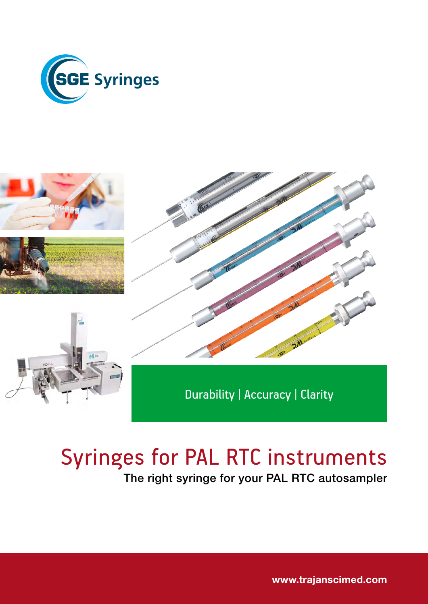







Durability | Accuracy | Clarity

# Syringes for PAL RTC instruments

The right syringe for your PAL RTC autosampler

[www.trajanscimed.com](http://www.trajanscimed.com)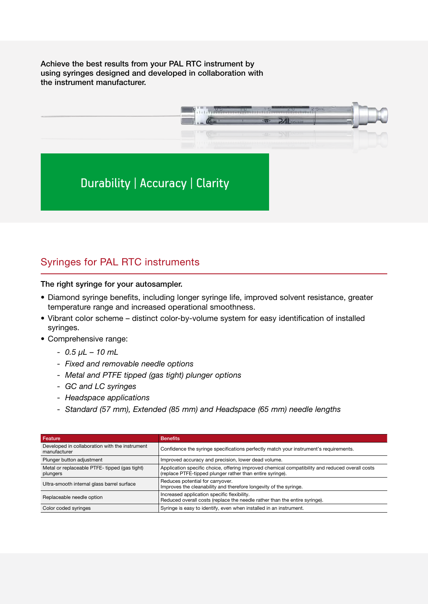Achieve the best results from your PAL RTC instrument by using syringes designed and developed in collaboration with the instrument manufacturer.



## Syringes for PAL RTC instruments

The right syringe for your autosampler.

- Diamond syringe benefits, including longer syringe life, improved solvent resistance, greater temperature range and increased operational smoothness.
- Vibrant color scheme distinct color-by-volume system for easy identification of installed syringes.
- Comprehensive range:
	- *0.5 μL 10 mL*
	- *Fixed and removable needle options*
	- *Metal and PTFE tipped (gas tight) plunger options*
	- *GC and LC syringes*
	- *Headspace applications*
	- *Standard (57 mm), Extended (85 mm) and Headspace (65 mm) needle lengths*

| Feature                                                        | <b>Benefits</b>                                                                                                                                              |
|----------------------------------------------------------------|--------------------------------------------------------------------------------------------------------------------------------------------------------------|
| Developed in collaboration with the instrument<br>manufacturer | Confidence the syringe specifications perfectly match your instrument's requirements.                                                                        |
| Plunger button adjustment                                      | Improved accuracy and precision, lower dead volume.                                                                                                          |
| Metal or replaceable PTFE- tipped (gas tight)<br>plungers      | Application specific choice, offering improved chemical compatibility and reduced overall costs<br>(replace PTFE-tipped plunger rather than entire syringe). |
| Ultra-smooth internal glass barrel surface                     | Reduces potential for carryover.<br>Improves the cleanability and therefore longevity of the syringe.                                                        |
| Replaceable needle option                                      | Increased application specific flexibility.<br>Reduced overall costs (replace the needle rather than the entire syringe).                                    |
| Color coded syringes                                           | Syringe is easy to identify, even when installed in an instrument.                                                                                           |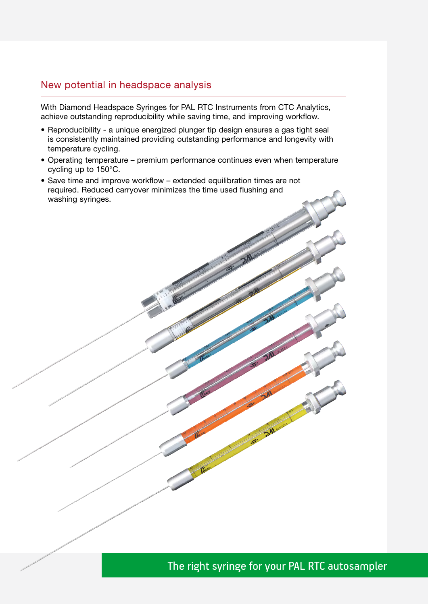### New potential in headspace analysis

With Diamond Headspace Syringes for PAL RTC Instruments from CTC Analytics, achieve outstanding reproducibility while saving time, and improving workflow.

- Reproducibility a unique energized plunger tip design ensures a gas tight seal is consistently maintained providing outstanding performance and longevity with temperature cycling.
- Operating temperature premium performance continues even when temperature cycling up to 150°C.
- Save time and improve workflow extended equilibration times are not required. Reduced carryover minimizes the time used flushing and washing syringes.

The right syringe for your PAL RTC autosampler